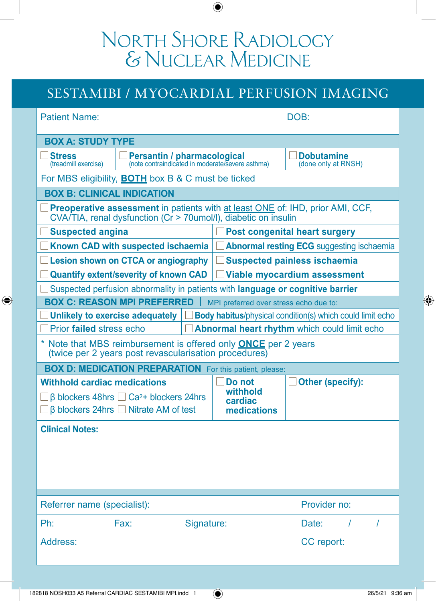# North Shore Radiology & Nuclear Medicine

### SESTAMIBI / MYOCARDIAL PERFUSION IMAGING

| <b>Patient Name:</b>                                                                                                                              |                             |            | DOB:                                             |                                          |  |  |
|---------------------------------------------------------------------------------------------------------------------------------------------------|-----------------------------|------------|--------------------------------------------------|------------------------------------------|--|--|
| <b>BOX A: STUDY TYPE</b>                                                                                                                          |                             |            |                                                  |                                          |  |  |
| <b>Stress</b><br>(treadmill exercise)                                                                                                             | Persantin / pharmacological |            | (note contraindicated in moderate/severe asthma) | <b>Dobutamine</b><br>(done only at RNSH) |  |  |
| For MBS eligibility, <b>BOTH</b> box B & C must be ticked                                                                                         |                             |            |                                                  |                                          |  |  |
| <b>BOX B: CLINICAL INDICATION</b>                                                                                                                 |                             |            |                                                  |                                          |  |  |
| Preoperative assessment in patients with at least ONE of: IHD, prior AMI, CCF,<br>CVA/TIA, renal dysfunction (Cr > 70umol/l), diabetic on insulin |                             |            |                                                  |                                          |  |  |
| <b>Suspected angina</b>                                                                                                                           |                             |            | <b>Post congenital heart surgery</b>             |                                          |  |  |
| Known CAD with suspected ischaemia                                                                                                                |                             |            | <b>Abnormal resting ECG</b> suggesting ischaemia |                                          |  |  |
| Lesion shown on CTCA or angiography<br><b>Suspected painless ischaemia</b>                                                                        |                             |            |                                                  |                                          |  |  |
| <b>Quantify extent/severity of known CAD</b><br><b>Viable myocardium assessment</b>                                                               |                             |            |                                                  |                                          |  |  |
| Suspected perfusion abnormality in patients with language or cognitive barrier                                                                    |                             |            |                                                  |                                          |  |  |
| <b>BOX C: REASON MPI PREFERRED</b><br>MPI preferred over stress echo due to:                                                                      |                             |            |                                                  |                                          |  |  |
| Body habitus/physical condition(s) which could limit echo<br>Unlikely to exercise adequately                                                      |                             |            |                                                  |                                          |  |  |
| Prior failed stress echo<br>Abnormal heart rhythm which could limit echo                                                                          |                             |            |                                                  |                                          |  |  |
| * Note that MBS reimbursement is offered only <b>ONCE</b> per 2 years<br>(twice per 2 years post revascularisation procedures)                    |                             |            |                                                  |                                          |  |  |
| <b>BOX D: MEDICATION PREPARATION</b> For this patient, please:                                                                                    |                             |            |                                                  |                                          |  |  |
| <b>Withhold cardiac medications</b>                                                                                                               |                             |            | Do not                                           | Other (specify):                         |  |  |
| $\Box$ $\beta$ blockers 48hrs $\Box$ Ca <sup>2+</sup> blockers 24hrs<br>$\Box$ $\beta$ blockers 24hrs $\Box$ Nitrate AM of test                   |                             |            | withhold<br>cardiac<br>medications               |                                          |  |  |
| <b>Clinical Notes:</b>                                                                                                                            |                             |            |                                                  |                                          |  |  |
|                                                                                                                                                   |                             |            |                                                  |                                          |  |  |
|                                                                                                                                                   |                             |            |                                                  |                                          |  |  |
|                                                                                                                                                   |                             |            |                                                  |                                          |  |  |
|                                                                                                                                                   |                             |            |                                                  |                                          |  |  |
| Provider no:<br>Referrer name (specialist):                                                                                                       |                             |            |                                                  |                                          |  |  |
| Ph:                                                                                                                                               | Fax:                        |            |                                                  | Date:<br>$\prime$<br>$\prime$            |  |  |
|                                                                                                                                                   |                             | Signature: |                                                  |                                          |  |  |
| Address:                                                                                                                                          |                             |            |                                                  | CC report:                               |  |  |
|                                                                                                                                                   |                             |            |                                                  |                                          |  |  |